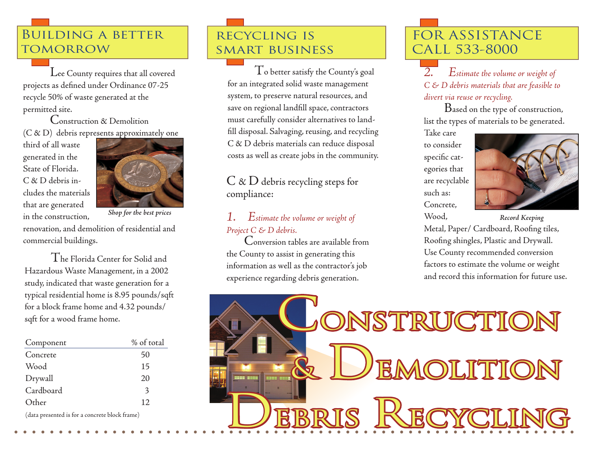## Building a better **TOMORROW**

Lee County requires that all covered projects as defined under Ordinance 07-25 recycle 50% of waste generated at the permitted site.

Construction & Demolition (C & D) debris represents approximately one

third of all waste generated in the State of Florida. C & D debris includes the materials that are generated in the construction,



renovation, and demolition of residential and commercial buildings.

The Florida Center for Solid and Hazardous Waste Management, in a 2002 study, indicated that waste generation for a typical residential home is 8.95 pounds/sqft for a block frame home and 4.32 pounds/ sqft for a wood frame home.

| Component | % of total   |
|-----------|--------------|
| Concrete  | 50           |
| Wood      | 15           |
| Drywall   | 20           |
| Cardboard | $\mathbf{3}$ |
| Other     | 12           |
|           |              |

(data presented is for a concrete block frame)

# recycling is smart business

 $T$ o better satisfy the County's goal for an integrated solid waste management system, to preserve natural resources, and save on regional landfill space, contractors must carefully consider alternatives to landfill disposal. Salvaging, reusing, and recycling C & D debris materials can reduce disposal costs as well as create jobs in the community.

 $C \& D$  debris recycling steps for compliance:

## *1. Estimate the volume or weight of Shop for the best prices Record Keeping Project C & D debris.*

 Conversion tables are available from the County to assist in generating this information as well as the contractor's job experience regarding debris generation.

# FOR ASSISTANCE CALL 533-8000

*2. Estimate the volume or weight of C & D debris materials that are feasible to divert via reuse or recycling.* 

 Based on the type of construction, list the types of materials to be generated.

Take care to consider specific categories that are recyclable such as: Concrete, Wood,



Metal, Paper/ Cardboard, Roofing tiles, Roofing shingles, Plastic and Drywall. Use County recommended conversion factors to estimate the volume or weight and record this information for future use.